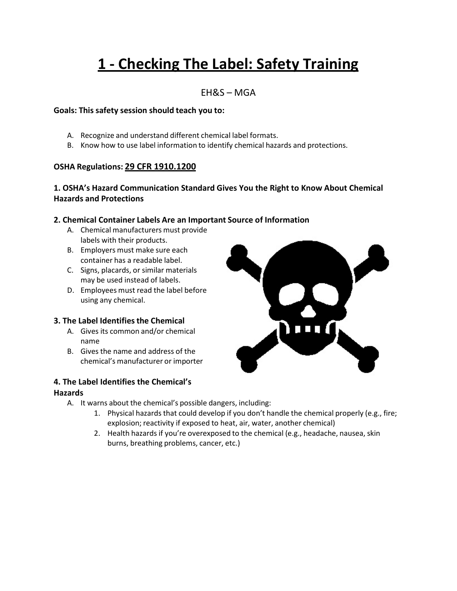# **1 - Checking The Label: Safety Training**

# EH&S – MGA

#### **Goals: This safety session should teach you to:**

- A. Recognize and understand different chemical label formats.
- B. Know how to use label information to identify chemical hazards and protections.

## **OSHA Regulations: 29 CFR 1910.1200**

# **1. OSHA's Hazard Communication Standard Gives You the Right to Know About Chemical Hazards and Protections**

## **2. Chemical Container Labels Are an Important Source of Information**

- A. Chemical manufacturers must provide labels with their products.
- B. Employers must make sure each container has a readable label.
- C. Signs, placards, or similar materials may be used instead of labels.
- D. Employees must read the label before using any chemical.

## **3. The Label Identifiesthe Chemical**

- A. Gives its common and/or chemical name
- B. Gives the name and address of the chemical's manufacturer or importer

## **4. The Label Identifies the Chemical's**

#### **Hazards**

- A. It warns about the chemical's possible dangers, including:
	- 1. Physical hazards that could develop if you don't handle the chemical properly (e.g., fire; explosion; reactivity if exposed to heat, air, water, another chemical)
	- 2. Health hazards if you're overexposed to the chemical (e.g., headache, nausea, skin burns, breathing problems, cancer, etc.)